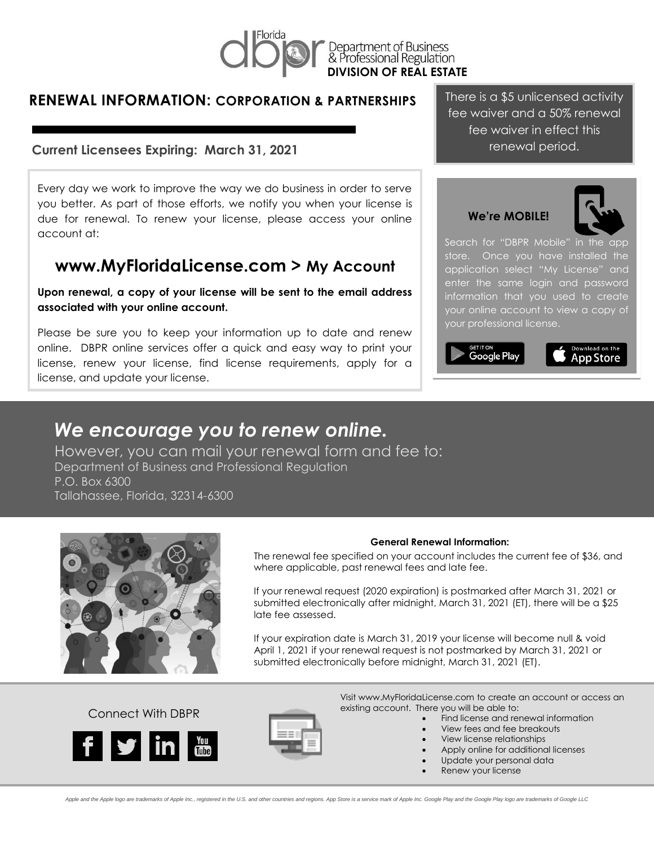

Department of Business<br>& Professional Regulation **DIVISION OF REAL ESTATE**

### **RENEWAL INFORMATION: CORPORATION & PARTNERSHIPS**

#### **Current Licensees Expiring: March 31, 2021**

Every day we work to improve the way we do business in order to serve you better. As part of those efforts, we notify you when your license is due for renewal. To renew your license, please access your online account at:

## **www.MyFloridaLicense.com > My Account**

**Upon renewal, a copy of your license will be sent to the email address associated with your online account.**

Please be sure you to keep your information up to date and renew online. DBPR online services offer a quick and easy way to print your license, renew your license, find license requirements, apply for a license, and update your license.

There is a \$5 unlicensed activity fee waiver and a 50% renewal fee waiver in effect this renewal period.

 **We're MOBILE!**



Search for "DBPR Mobile" in the app store. Once you have installed the application select "My License" and enter the same login and password information that you used to create your online account to view a copy of your professional license.

Google Play



# *We encourage you to renew online.*

However, you can mail your renewal form and fee to: Department of Business and Professional Regulation P.O. Box 6300 Tallahassee, Florida, 32314-6300



#### **General Renewal Information:**

The renewal fee specified on your account includes the current fee of \$36, and where applicable, past renewal fees and late fee.

If your renewal request (2020 expiration) is postmarked after March 31, 2021 or submitted electronically after midnight, March 31, 2021 (ET), there will be a \$25 late fee assessed.

If your expiration date is March 31, 2019 your license will become null & void April 1, 2021 if your renewal request is not postmarked by March 31, 2021 or submitted electronically before midnight, March 31, 2021 (ET).

Connect With DBPR





Visit www.MyFloridaLicense.com to create an account or access an existing account. There you will be able to:

- Find license and renewal information
	- View fees and fee breakouts
- View license relationships
- Apply online for additional licenses
- Update your personal data
- Renew your license

Apple and the Apple logo are trademarks of Apple Inc., registered in the U.S. and other countries and regions. App Store is a service mark of Apple Inc. Google Play and the Google Play logo are trademarks of Google LLC